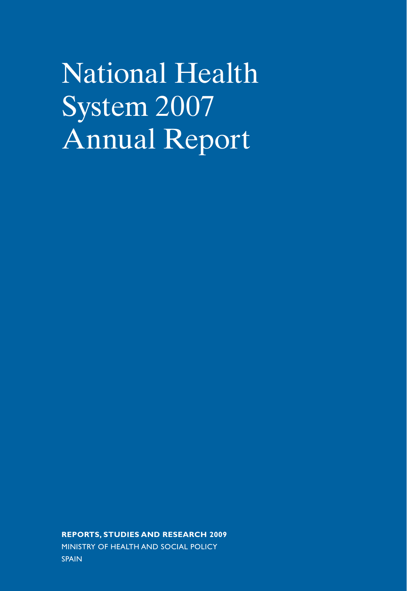National Health System 2007 Annual Report

**REPORTS, STUDIES AND RESEARCH 2009** MINISTRY OF HEALTH AND SOCIAL POLICY SPAIN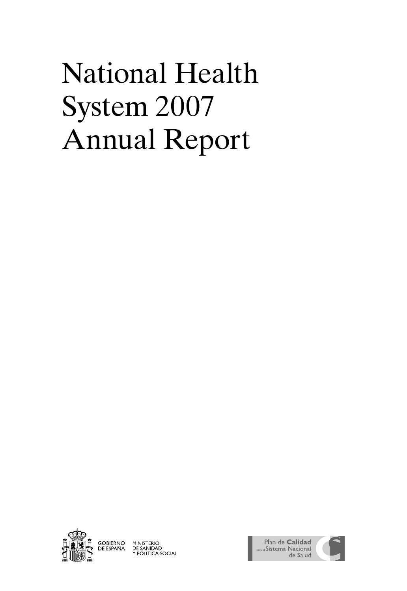# National Health System 2007 Annual Report



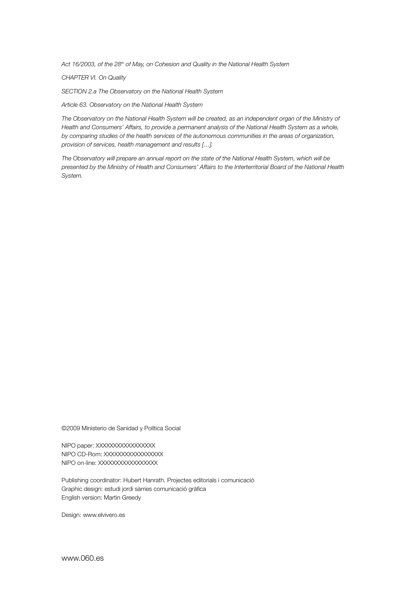*Act 16/2003, of the 28th of May, on Cohesion and Quality in the National Health System*

*CHAPTER VI. On Quality*

*SECTION 2.a The Observatory on the National Health System*

*Article 63. Observatory on the National Health System*

*The Observatory on the National Health System will be created, as an independent organ of the Ministry of Health and Consumers' Affairs, to provide a permanent analysis of the National Health System as a whole, by comparing studies of the health services of the autonomous communities in the areas of organization, provision of services, health management and results […].*

*The Observatory will prepare an annual report on the state of the National Health System, which will be presented by the Ministry of Health and Consumers' Affairs to the Interterritorial Board of the National Health System.*

©2009 Ministerio de Sanidad y Política Social

NIPO paper: XXXXXXXXXXXXXXX NIPO CD-Rom: XXXXXXXXXXXXXXX NIPO on-line: XXXXXXXXXXXXXXX

Publishing coordinator: Hubert Hanrath. Projectes editorials i comunicació Graphic design: estudi jordi sàrries comunicació gràfica English version: Martin Greedy

Design: www.elvivero.es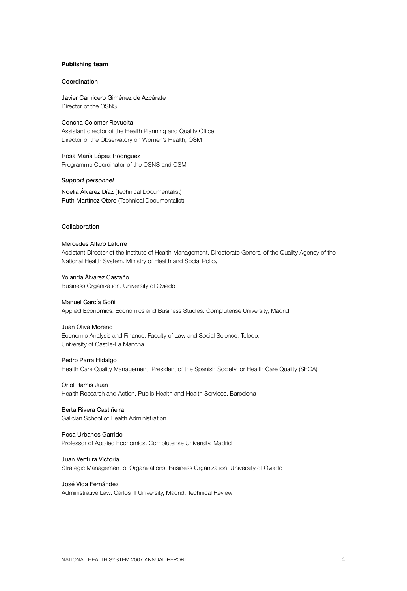#### **Publishing team**

#### Coordination

Javier Carnicero Giménez de Azcárate Director of the OSNS

Concha Colomer Revuelta Assistant director of the Health Planning and Quality Office. Director of the Observatory on Women's Health, OSM

Rosa María López Rodríguez Programme Coordinator of the OSNS and OSM

#### *Support personnel*

Noelia Álvarez Díaz (Technical Documentalist) Ruth Martínez Otero (Technical Documentalist)

#### Collaboration

#### Mercedes Alfaro Latorre

Assistant Director of the Institute of Health Management. Directorate General of the Quality Agency of the National Health System. Ministry of Health and Social Policy

Yolanda Álvarez Castaño Business Organization. University of Oviedo

#### Manuel García Goñi

Applied Economics. Economics and Business Studies. Complutense University, Madrid

#### Juan Oliva Moreno

Economic Analysis and Finance. Faculty of Law and Social Science, Toledo. University of Castile-La Mancha

#### Pedro Parra Hidalgo

Health Care Quality Management. President of the Spanish Society for Health Care Quality (SECA)

#### Oriol Ramis Juan

Health Research and Action. Public Health and Health Services, Barcelona

Berta Rivera Castiñeira Galician School of Health Administration

Rosa Urbanos Garrido Professor of Applied Economics. Complutense University, Madrid

Juan Ventura Victoria Strategic Management of Organizations. Business Organization. University of Oviedo

José Vida Fernández Administrative Law. Carlos III University, Madrid. Technical Review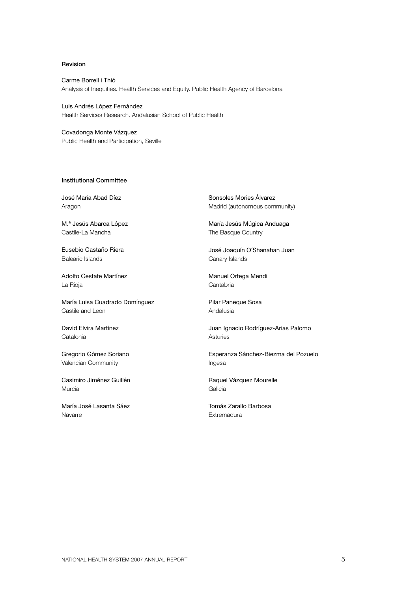#### Revision

Carme Borrell i Thió Analysis of Inequities. Health Services and Equity. Public Health Agency of Barcelona

Luis Andrés López Fernández Health Services Research. Andalusian School of Public Health

Covadonga Monte Vázquez Public Health and Participation, Seville

#### Institutional Committee

José María Abad Díez Aragon

M.ª Jesús Abarca López Castile-La Mancha

Eusebio Castaño Riera Balearic Islands

Adolfo Cestafe Martínez La Rioja

María Luisa Cuadrado Domínguez Castile and Leon

David Elvira Martínez **Catalonia** 

Gregorio Gómez Soriano Valencian Community

Casimiro Jiménez Guillén Murcia

María José Lasanta Sáez Navarre

Sonsoles Mories Álvarez Madrid (autonomous community)

María Jesús Múgica Anduaga The Basque Country

José Joaquín O´Shanahan Juan Canary Islands

Manuel Ortega Mendi Cantabria

Pilar Paneque Sosa Andalusia

Juan Ignacio Rodríguez-Arias Palomo Asturies

Esperanza Sánchez-Biezma del Pozuelo Ingesa

Raquel Vázquez Mourelle Galicia

Tomás Zarallo Barbosa **Extremadura**